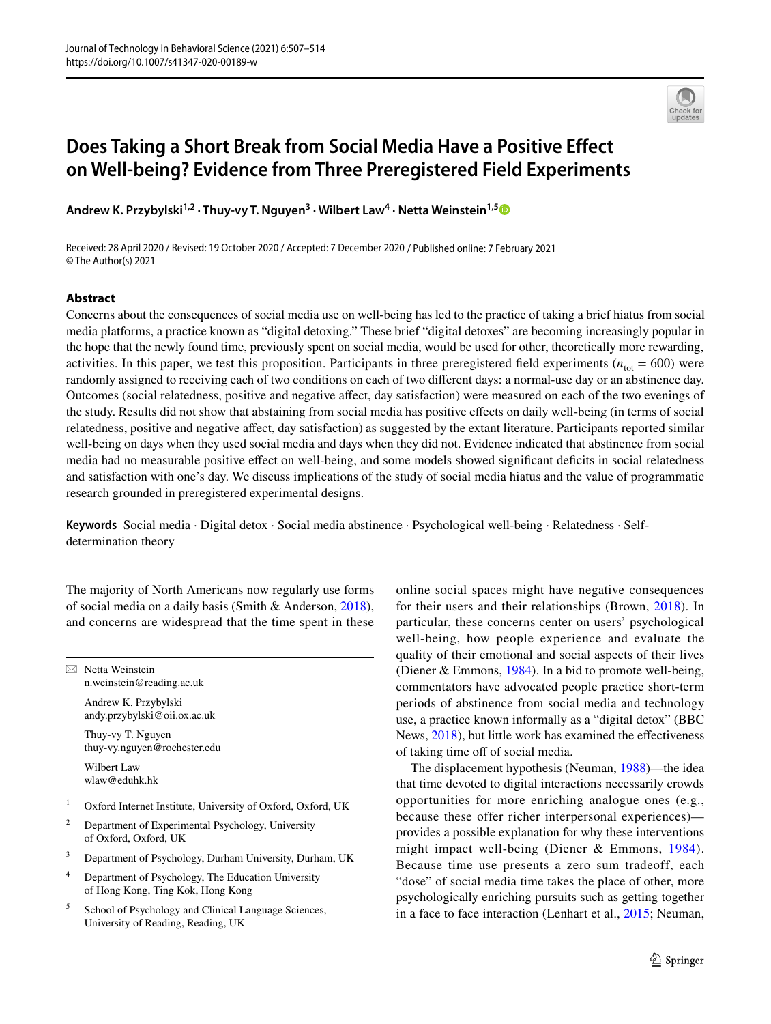

# **Does Taking a Short Break from Social Media Have a Positive Effect on Well‑being? Evidence from Three Preregistered Field Experiments**

Andrew K. Przybylski<sup>1,2</sup> · Thuy-vy T. Nguyen<sup>3</sup> · Wilbert Law<sup>4</sup> · Netta Weinstein<sup>1,[5](http://orcid.org/0000-0003-2200-6617)</sup>

Received: 28 April 2020 / Revised: 19 October 2020 / Accepted: 7 December 2020 / Published online: 7 February 2021 © The Author(s) 2021

# **Abstract**

Concerns about the consequences of social media use on well-being has led to the practice of taking a brief hiatus from social media platforms, a practice known as "digital detoxing." These brief "digital detoxes" are becoming increasingly popular in the hope that the newly found time, previously spent on social media, would be used for other, theoretically more rewarding, activities. In this paper, we test this proposition. Participants in three preregistered field experiments ( $n_{\text{tot}} = 600$ ) were randomly assigned to receiving each of two conditions on each of two diferent days: a normal-use day or an abstinence day. Outcomes (social relatedness, positive and negative afect, day satisfaction) were measured on each of the two evenings of the study. Results did not show that abstaining from social media has positive efects on daily well-being (in terms of social relatedness, positive and negative afect, day satisfaction) as suggested by the extant literature. Participants reported similar well-being on days when they used social media and days when they did not. Evidence indicated that abstinence from social media had no measurable positive efect on well-being, and some models showed signifcant defcits in social relatedness and satisfaction with one's day. We discuss implications of the study of social media hiatus and the value of programmatic research grounded in preregistered experimental designs.

**Keywords** Social media · Digital detox · Social media abstinence · Psychological well-being · Relatedness · Selfdetermination theory

The majority of North Americans now regularly use forms of social media on a daily basis (Smith & Anderson, [2018](#page-7-0)), and concerns are widespread that the time spent in these

 $\boxtimes$  Netta Weinstein n.weinstein@reading.ac.uk

> Andrew K. Przybylski andy.przybylski@oii.ox.ac.uk

Thuy-vy T. Nguyen thuy-vy.nguyen@rochester.edu

Wilbert Law wlaw@eduhk.hk

- <sup>1</sup> Oxford Internet Institute, University of Oxford, Oxford, UK
- <sup>2</sup> Department of Experimental Psychology, University of Oxford, Oxford, UK
- <sup>3</sup> Department of Psychology, Durham University, Durham, UK
- <sup>4</sup> Department of Psychology, The Education University of Hong Kong, Ting Kok, Hong Kong
- <sup>5</sup> School of Psychology and Clinical Language Sciences, University of Reading, Reading, UK

online social spaces might have negative consequences for their users and their relationships (Brown, [2018](#page-6-0)). In particular, these concerns center on users' psychological well-being, how people experience and evaluate the quality of their emotional and social aspects of their lives (Diener & Emmons, [1984\)](#page-7-1). In a bid to promote well-being, commentators have advocated people practice short-term periods of abstinence from social media and technology use, a practice known informally as a "digital detox" (BBC News, [2018\)](#page-6-1), but little work has examined the effectiveness of taking time off of social media.

The displacement hypothesis (Neuman, [1988](#page-7-2))—the idea that time devoted to digital interactions necessarily crowds opportunities for more enriching analogue ones (e.g., because these offer richer interpersonal experiences) provides a possible explanation for why these interventions might impact well-being (Diener & Emmons, [1984](#page-7-1)). Because time use presents a zero sum tradeoff, each "dose" of social media time takes the place of other, more psychologically enriching pursuits such as getting together in a face to face interaction (Lenhart et al., [2015](#page-7-3); Neuman,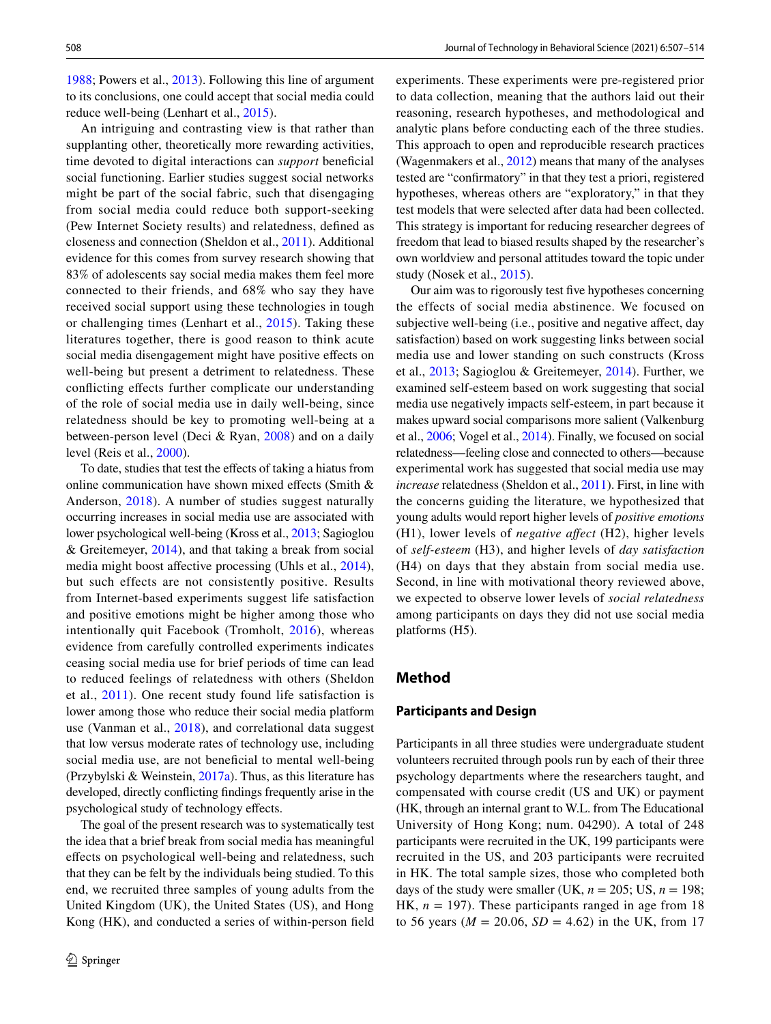[1988](#page-7-2); Powers et al., [2013](#page-7-4)). Following this line of argument to its conclusions, one could accept that social media could reduce well-being (Lenhart et al., [2015](#page-7-3)).

An intriguing and contrasting view is that rather than supplanting other, theoretically more rewarding activities, time devoted to digital interactions can *support* beneficial social functioning. Earlier studies suggest social networks might be part of the social fabric, such that disengaging from social media could reduce both support-seeking (Pew Internet Society results) and relatedness, defned as closeness and connection (Sheldon et al., [2011\)](#page-7-5). Additional evidence for this comes from survey research showing that 83% of adolescents say social media makes them feel more connected to their friends, and 68% who say they have received social support using these technologies in tough or challenging times (Lenhart et al., [2015](#page-7-3)). Taking these literatures together, there is good reason to think acute social media disengagement might have positive efects on well-being but present a detriment to relatedness. These conficting efects further complicate our understanding of the role of social media use in daily well-being, since relatedness should be key to promoting well-being at a between-person level (Deci & Ryan, [2008](#page-7-6)) and on a daily level (Reis et al., [2000](#page-7-7)).

To date, studies that test the efects of taking a hiatus from online communication have shown mixed efects (Smith & Anderson, [2018](#page-7-0)). A number of studies suggest naturally occurring increases in social media use are associated with lower psychological well-being (Kross et al., [2013;](#page-7-8) Sagioglou & Greitemeyer, [2014](#page-7-9)), and that taking a break from social media might boost affective processing (Uhls et al., [2014](#page-7-10)), but such effects are not consistently positive. Results from Internet-based experiments suggest life satisfaction and positive emotions might be higher among those who intentionally quit Facebook (Tromholt, [2016\)](#page-7-11), whereas evidence from carefully controlled experiments indicates ceasing social media use for brief periods of time can lead to reduced feelings of relatedness with others (Sheldon et al., [2011\)](#page-7-5). One recent study found life satisfaction is lower among those who reduce their social media platform use (Vanman et al., [2018](#page-7-12)), and correlational data suggest that low versus moderate rates of technology use, including social media use, are not beneficial to mental well-being (Przybylski & Weinstein, [2017a\)](#page-7-13). Thus, as this literature has developed, directly conficting fndings frequently arise in the psychological study of technology efects.

The goal of the present research was to systematically test the idea that a brief break from social media has meaningful efects on psychological well-being and relatedness, such that they can be felt by the individuals being studied. To this end, we recruited three samples of young adults from the United Kingdom (UK), the United States (US), and Hong Kong (HK), and conducted a series of within-person feld experiments. These experiments were pre-registered prior to data collection, meaning that the authors laid out their reasoning, research hypotheses, and methodological and analytic plans before conducting each of the three studies. This approach to open and reproducible research practices (Wagenmakers et al., [2012](#page-7-14)) means that many of the analyses tested are "confrmatory" in that they test a priori, registered hypotheses, whereas others are "exploratory," in that they test models that were selected after data had been collected. This strategy is important for reducing researcher degrees of freedom that lead to biased results shaped by the researcher's own worldview and personal attitudes toward the topic under study (Nosek et al., [2015\)](#page-7-15).

Our aim was to rigorously test five hypotheses concerning the effects of social media abstinence. We focused on subjective well-being (i.e., positive and negative afect, day satisfaction) based on work suggesting links between social media use and lower standing on such constructs (Kross et al., [2013;](#page-7-8) Sagioglou & Greitemeyer, [2014](#page-7-9)). Further, we examined self-esteem based on work suggesting that social media use negatively impacts self-esteem, in part because it makes upward social comparisons more salient (Valkenburg et al., [2006](#page-7-16); Vogel et al., [2014](#page-7-17)). Finally, we focused on social relatedness—feeling close and connected to others—because experimental work has suggested that social media use may *increase* relatedness (Sheldon et al., [2011](#page-7-5)). First, in line with the concerns guiding the literature, we hypothesized that young adults would report higher levels of *positive emotions* (H1), lower levels of *negative afect* (H2), higher levels of *self-esteem* (H3), and higher levels of *day satisfaction* (H4) on days that they abstain from social media use. Second, in line with motivational theory reviewed above, we expected to observe lower levels of *social relatedness* among participants on days they did not use social media platforms (H5).

# **Method**

# **Participants and Design**

Participants in all three studies were undergraduate student volunteers recruited through pools run by each of their three psychology departments where the researchers taught, and compensated with course credit (US and UK) or payment (HK, through an internal grant to W.L. from The Educational University of Hong Kong; num. 04290). A total of 248 participants were recruited in the UK, 199 participants were recruited in the US, and 203 participants were recruited in HK. The total sample sizes, those who completed both days of the study were smaller (UK,  $n = 205$ ; US,  $n = 198$ ; HK,  $n = 197$ ). These participants ranged in age from 18 to 56 years ( $M = 20.06$ ,  $SD = 4.62$ ) in the UK, from 17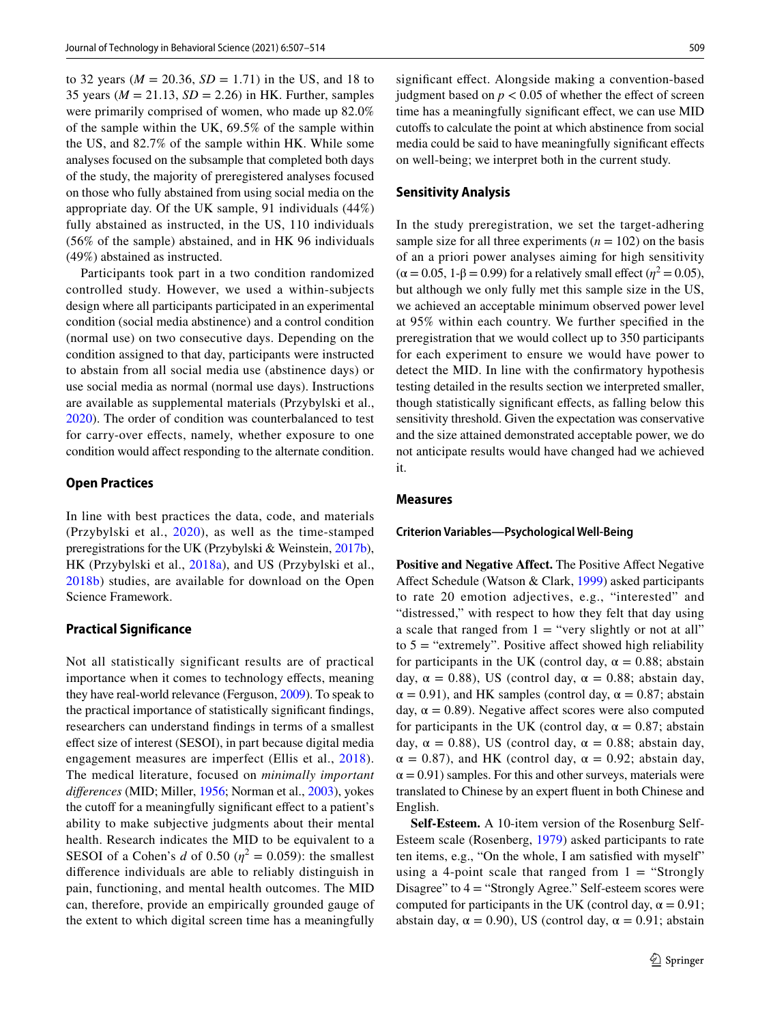to 32 years ( $M = 20.36$ ,  $SD = 1.71$ ) in the US, and 18 to 35 years (*M* = 21.13, *SD* = 2.26) in HK. Further, samples were primarily comprised of women, who made up 82.0% of the sample within the UK, 69.5% of the sample within the US, and 82.7% of the sample within HK. While some analyses focused on the subsample that completed both days of the study, the majority of preregistered analyses focused on those who fully abstained from using social media on the appropriate day. Of the UK sample, 91 individuals (44%) fully abstained as instructed, in the US, 110 individuals (56% of the sample) abstained, and in HK 96 individuals (49%) abstained as instructed.

Participants took part in a two condition randomized controlled study. However, we used a within-subjects design where all participants participated in an experimental condition (social media abstinence) and a control condition (normal use) on two consecutive days. Depending on the condition assigned to that day, participants were instructed to abstain from all social media use (abstinence days) or use social media as normal (normal use days). Instructions are available as supplemental materials (Przybylski et al., [2020](#page-7-18)). The order of condition was counterbalanced to test for carry-over efects, namely, whether exposure to one condition would afect responding to the alternate condition.

#### **Open Practices**

In line with best practices the data, code, and materials (Przybylski et al., [2020\)](#page-7-18), as well as the time-stamped preregistrations for the UK (Przybylski & Weinstein, [2017b](#page-7-19)), HK (Przybylski et al., [2018a\)](#page-7-20), and US (Przybylski et al., [2018b](#page-7-21)) studies, are available for download on the Open Science Framework.

# **Practical Significance**

Not all statistically significant results are of practical importance when it comes to technology efects, meaning they have real-world relevance (Ferguson, [2009](#page-7-22)). To speak to the practical importance of statistically signifcant fndings, researchers can understand fndings in terms of a smallest efect size of interest (SESOI), in part because digital media engagement measures are imperfect (Ellis et al., [2018](#page-7-23)). The medical literature, focused on *minimally important diferences* (MID; Miller, [1956;](#page-7-24) Norman et al., [2003\)](#page-7-25), yokes the cutoff for a meaningfully significant effect to a patient's ability to make subjective judgments about their mental health. Research indicates the MID to be equivalent to a SESOI of a Cohen's *d* of 0.50 ( $\eta^2 = 0.059$ ): the smallest diference individuals are able to reliably distinguish in pain, functioning, and mental health outcomes. The MID can, therefore, provide an empirically grounded gauge of the extent to which digital screen time has a meaningfully

signifcant efect. Alongside making a convention-based judgment based on  $p < 0.05$  of whether the effect of screen time has a meaningfully signifcant efect, we can use MID cutofs to calculate the point at which abstinence from social media could be said to have meaningfully signifcant efects on well-being; we interpret both in the current study.

### **Sensitivity Analysis**

In the study preregistration, we set the target-adhering sample size for all three experiments  $(n = 102)$  on the basis of an a priori power analyses aiming for high sensitivity  $(\alpha = 0.05, 1-\beta = 0.99)$  for a relatively small effect ( $\eta^2 = 0.05$ ), but although we only fully met this sample size in the US, we achieved an acceptable minimum observed power level at 95% within each country. We further specifed in the preregistration that we would collect up to 350 participants for each experiment to ensure we would have power to detect the MID. In line with the confrmatory hypothesis testing detailed in the results section we interpreted smaller, though statistically signifcant efects, as falling below this sensitivity threshold. Given the expectation was conservative and the size attained demonstrated acceptable power, we do not anticipate results would have changed had we achieved it.

### **Measures**

#### **Criterion Variables—Psychological Well‑Being**

**Positive and Negative Affect.** The Positive Affect Negative Afect Schedule (Watson & Clark, [1999](#page-7-26)) asked participants to rate 20 emotion adjectives, e.g., "interested" and "distressed," with respect to how they felt that day using a scale that ranged from  $1 =$  "very slightly or not at all" to  $5 =$  "extremely". Positive affect showed high reliability for participants in the UK (control day,  $\alpha = 0.88$ ; abstain day,  $\alpha = 0.88$ ), US (control day,  $\alpha = 0.88$ ; abstain day,  $\alpha = 0.91$ ), and HK samples (control day,  $\alpha = 0.87$ ; abstain day,  $\alpha = 0.89$ ). Negative affect scores were also computed for participants in the UK (control day,  $\alpha = 0.87$ ; abstain day,  $\alpha = 0.88$ ), US (control day,  $\alpha = 0.88$ ; abstain day,  $\alpha = 0.87$ ), and HK (control day,  $\alpha = 0.92$ ; abstain day,  $\alpha$  = 0.91) samples. For this and other surveys, materials were translated to Chinese by an expert fuent in both Chinese and English.

**Self-Esteem.** A 10-item version of the Rosenburg Self-Esteem scale (Rosenberg, [1979\)](#page-7-27) asked participants to rate ten items, e.g., "On the whole, I am satisfed with myself" using a 4-point scale that ranged from  $1 =$  "Strongly Disagree" to 4 = "Strongly Agree." Self-esteem scores were computed for participants in the UK (control day,  $\alpha = 0.91$ ; abstain day,  $\alpha = 0.90$ ), US (control day,  $\alpha = 0.91$ ; abstain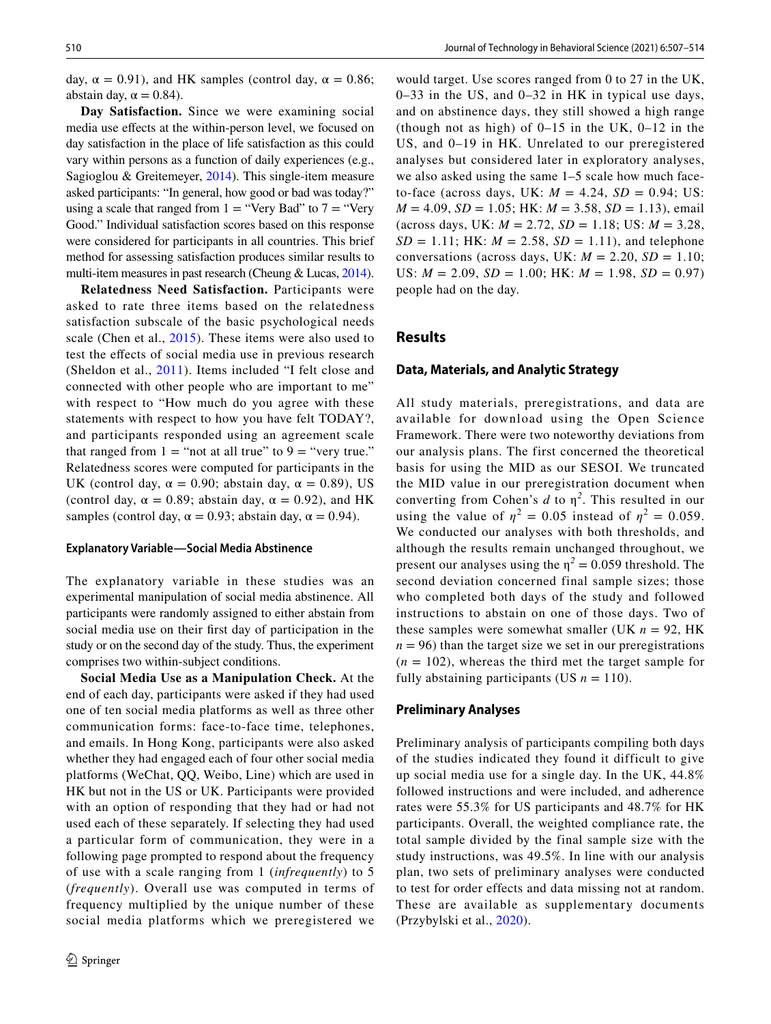day,  $\alpha = 0.91$ ), and HK samples (control day,  $\alpha = 0.86$ ; abstain day,  $\alpha = 0.84$ ).

**Day Satisfaction.** Since we were examining social media use efects at the within-person level, we focused on day satisfaction in the place of life satisfaction as this could vary within persons as a function of daily experiences (e.g., Sagioglou & Greitemeyer, [2014](#page-7-9)). This single-item measure asked participants: "In general, how good or bad was today?" using a scale that ranged from  $1 =$  "Very Bad" to  $7 =$  "Very Good." Individual satisfaction scores based on this response were considered for participants in all countries. This brief method for assessing satisfaction produces similar results to multi-item measures in past research (Cheung & Lucas, [2014](#page-7-28)).

**Relatedness Need Satisfaction.** Participants were asked to rate three items based on the relatedness satisfaction subscale of the basic psychological needs scale (Chen et al., [2015\)](#page-6-2). These items were also used to test the efects of social media use in previous research (Sheldon et al., [2011](#page-7-5)). Items included "I felt close and connected with other people who are important to me" with respect to "How much do you agree with these statements with respect to how you have felt TODAY?, and participants responded using an agreement scale that ranged from  $1 =$  "not at all true" to  $9 =$  "very true." Relatedness scores were computed for participants in the UK (control day,  $\alpha = 0.90$ ; abstain day,  $\alpha = 0.89$ ), US (control day,  $\alpha = 0.89$ ; abstain day,  $\alpha = 0.92$ ), and HK samples (control day,  $\alpha = 0.93$ ; abstain day,  $\alpha = 0.94$ ).

#### **Explanatory Variable—Social Media Abstinence**

The explanatory variable in these studies was an experimental manipulation of social media abstinence. All participants were randomly assigned to either abstain from social media use on their frst day of participation in the study or on the second day of the study. Thus, the experiment comprises two within-subject conditions.

**Social Media Use as a Manipulation Check.** At the end of each day, participants were asked if they had used one of ten social media platforms as well as three other communication forms: face-to-face time, telephones, and emails. In Hong Kong, participants were also asked whether they had engaged each of four other social media platforms (WeChat, QQ, Weibo, Line) which are used in HK but not in the US or UK. Participants were provided with an option of responding that they had or had not used each of these separately. If selecting they had used a particular form of communication, they were in a following page prompted to respond about the frequency of use with a scale ranging from 1 (*infrequently*) to 5 (*frequently*). Overall use was computed in terms of frequency multiplied by the unique number of these social media platforms which we preregistered we

would target. Use scores ranged from 0 to 27 in the UK, 0–33 in the US, and 0–32 in HK in typical use days, and on abstinence days, they still showed a high range (though not as high) of  $0-15$  in the UK,  $0-12$  in the US, and 0–19 in HK. Unrelated to our preregistered analyses but considered later in exploratory analyses, we also asked using the same 1–5 scale how much faceto-face (across days, UK:  $M = 4.24$ ,  $SD = 0.94$ ; US: *M* = 4.09, *SD* = 1.05; HK: *M* = 3.58, *SD* = 1.13), email (across days, UK: *M* = 2.72, *SD* = 1.18; US: *M* = 3.28,  $SD = 1.11$ ; HK:  $M = 2.58$ ,  $SD = 1.11$ ), and telephone conversations (across days, UK:  $M = 2.20$ ,  $SD = 1.10$ ; US:  $M = 2.09$ ,  $SD = 1.00$ ; HK:  $M = 1.98$ ,  $SD = 0.97$ ) people had on the day.

### **Results**

#### **Data, Materials, and Analytic Strategy**

All study materials, preregistrations, and data are available for download using the Open Science Framework. There were two noteworthy deviations from our analysis plans. The first concerned the theoretical basis for using the MID as our SESOI. We truncated the MID value in our preregistration document when converting from Cohen's  $d$  to  $\eta^2$ . This resulted in our using the value of  $\eta^2 = 0.05$  instead of  $\eta^2 = 0.059$ . We conducted our analyses with both thresholds, and although the results remain unchanged throughout, we present our analyses using the  $\eta^2 = 0.059$  threshold. The second deviation concerned final sample sizes; those who completed both days of the study and followed instructions to abstain on one of those days. Two of these samples were somewhat smaller (UK  $n = 92$ , HK  $n = 96$ ) than the target size we set in our preregistrations  $(n = 102)$ , whereas the third met the target sample for fully abstaining participants (US  $n = 110$ ).

### **Preliminary Analyses**

Preliminary analysis of participants compiling both days of the studies indicated they found it difficult to give up social media use for a single day. In the UK, 44.8% followed instructions and were included, and adherence rates were 55.3% for US participants and 48.7% for HK participants. Overall, the weighted compliance rate, the total sample divided by the final sample size with the study instructions, was 49.5%. In line with our analysis plan, two sets of preliminary analyses were conducted to test for order effects and data missing not at random. These are available as supplementary documents (Przybylski et al., [2020](#page-7-18)).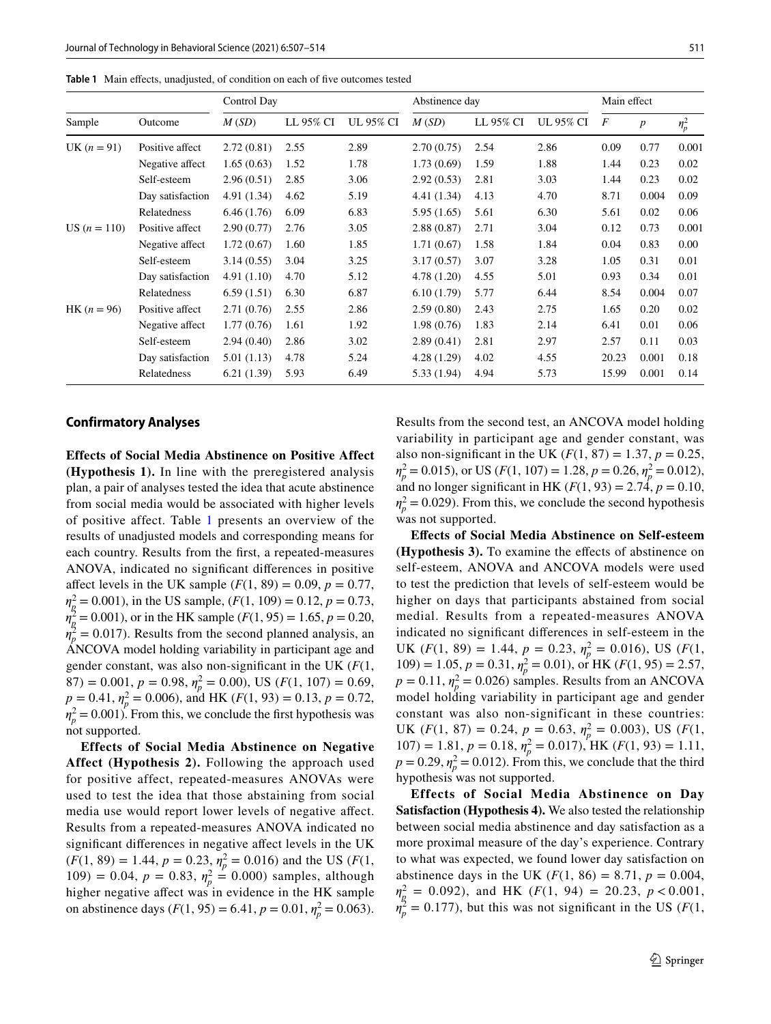<span id="page-4-0"></span>**Table 1** Main effects, unadjusted, of condition on each of five outcomes tested

| Sample         | Outcome          | Control Day |           |           | Abstinence day |           |           | Main effect    |                  |         |
|----------------|------------------|-------------|-----------|-----------|----------------|-----------|-----------|----------------|------------------|---------|
|                |                  | M(SD)       | LL 95% CI | UL 95% CI | M(SD)          | LL 95% CI | UL 95% CI | $\overline{F}$ | $\boldsymbol{p}$ | $n_p^2$ |
| UK $(n = 91)$  | Positive affect  | 2.72(0.81)  | 2.55      | 2.89      | 2.70(0.75)     | 2.54      | 2.86      | 0.09           | 0.77             | 0.001   |
|                | Negative affect  | 1.65(0.63)  | 1.52      | 1.78      | 1.73(0.69)     | 1.59      | 1.88      | 1.44           | 0.23             | 0.02    |
|                | Self-esteem      | 2.96(0.51)  | 2.85      | 3.06      | 2.92(0.53)     | 2.81      | 3.03      | 1.44           | 0.23             | 0.02    |
|                | Day satisfaction | 4.91 (1.34) | 4.62      | 5.19      | 4.41 (1.34)    | 4.13      | 4.70      | 8.71           | 0.004            | 0.09    |
|                | Relatedness      | 6.46(1.76)  | 6.09      | 6.83      | 5.95 (1.65)    | 5.61      | 6.30      | 5.61           | 0.02             | 0.06    |
| US $(n = 110)$ | Positive affect  | 2.90(0.77)  | 2.76      | 3.05      | 2.88(0.87)     | 2.71      | 3.04      | 0.12           | 0.73             | 0.001   |
|                | Negative affect  | 1.72(0.67)  | 1.60      | 1.85      | 1.71(0.67)     | 1.58      | 1.84      | 0.04           | 0.83             | 0.00    |
|                | Self-esteem      | 3.14(0.55)  | 3.04      | 3.25      | 3.17(0.57)     | 3.07      | 3.28      | 1.05           | 0.31             | 0.01    |
|                | Day satisfaction | 4.91(1.10)  | 4.70      | 5.12      | 4.78(1.20)     | 4.55      | 5.01      | 0.93           | 0.34             | 0.01    |
|                | Relatedness      | 6.59(1.51)  | 6.30      | 6.87      | 6.10(1.79)     | 5.77      | 6.44      | 8.54           | 0.004            | 0.07    |
| $HK (n = 96)$  | Positive affect  | 2.71(0.76)  | 2.55      | 2.86      | 2.59(0.80)     | 2.43      | 2.75      | 1.65           | 0.20             | 0.02    |
|                | Negative affect  | 1.77(0.76)  | 1.61      | 1.92      | 1.98(0.76)     | 1.83      | 2.14      | 6.41           | 0.01             | 0.06    |
|                | Self-esteem      | 2.94(0.40)  | 2.86      | 3.02      | 2.89(0.41)     | 2.81      | 2.97      | 2.57           | 0.11             | 0.03    |
|                | Day satisfaction | 5.01(1.13)  | 4.78      | 5.24      | 4.28(1.29)     | 4.02      | 4.55      | 20.23          | 0.001            | 0.18    |
|                | Relatedness      | 6.21(1.39)  | 5.93      | 6.49      | 5.33 (1.94)    | 4.94      | 5.73      | 15.99          | 0.001            | 0.14    |

### **Confirmatory Analyses**

**Effects of Social Media Abstinence on Positive Affect (Hypothesis 1).** In line with the preregistered analysis plan, a pair of analyses tested the idea that acute abstinence from social media would be associated with higher levels of positive affect. Table [1](#page-4-0) presents an overview of the results of unadjusted models and corresponding means for each country. Results from the frst, a repeated-measures ANOVA, indicated no signifcant diferences in positive affect levels in the UK sample  $(F(1, 89) = 0.09, p = 0.77,$  $\eta_{\text{g}}^2 = 0.001$ ), in the US sample,  $(F(1, 109) = 0.12, p = 0.73,$  $\eta_{\rm g}^2$  = 0.001), or in the HK sample (*F*(1, 95) = 1.65, *p* = 0.20,  $\eta_p^2 = 0.017$ ). Results from the second planned analysis, an ANCOVA model holding variability in participant age and gender constant, was also non-signifcant in the UK (*F*(1,  $(87) = 0.001, p = 0.98, \eta_p^2 = 0.00$ , US  $(F(1, 107) = 0.69,$  $p = 0.41$ ,  $\eta_p^2 = 0.006$ ), and HK (*F*(1, 93) = 0.13, *p* = 0.72,  $\eta_p^2 = 0.001$ . From this, we conclude the first hypothesis was not supported.

**Effects of Social Media Abstinence on Negative Affect (Hypothesis 2).** Following the approach used for positive affect, repeated-measures ANOVAs were used to test the idea that those abstaining from social media use would report lower levels of negative afect. Results from a repeated-measures ANOVA indicated no signifcant diferences in negative afect levels in the UK  $(F(1, 89) = 1.44, p = 0.23, \eta_p^2 = 0.016)$  and the US (*F*(1, 109) = 0.04,  $p = 0.83$ ,  $\eta_p^2 = 0.000$ ) samples, although higher negative afect was in evidence in the HK sample on abstinence days ( $F(1, 95) = 6.41$ ,  $p = 0.01$ ,  $\eta_p^2 = 0.063$ ). Results from the second test, an ANCOVA model holding variability in participant age and gender constant, was also non-significant in the UK  $(F(1, 87) = 1.37, p = 0.25,$  $\eta_p^2 = 0.015$ , or US (*F*(1, 107) = 1.28, *p* = 0.26,  $\eta_p^2 = 0.012$ ), and no longer significant in HK ( $F(1, 93) = 2.74$ ,  $p = 0.10$ ,  $\eta_p^2$  = 0.029). From this, we conclude the second hypothesis was not supported.

**Efects of Social Media Abstinence on Self-esteem (Hypothesis 3).** To examine the efects of abstinence on self-esteem, ANOVA and ANCOVA models were used to test the prediction that levels of self-esteem would be higher on days that participants abstained from social medial. Results from a repeated-measures ANOVA indicated no signifcant diferences in self-esteem in the UK  $(F(1, 89) = 1.44, p = 0.23, \eta_p^2 = 0.016)$ , US  $(F(1, 89))$  $109$ ) = 1.05,  $p = 0.31$ ,  $\eta_p^2 = 0.01$ ), or HK ( $F(1, 95) = 2.57$ ,  $p = 0.11$ ,  $\eta_p^2 = 0.026$ ) samples. Results from an ANCOVA model holding variability in participant age and gender constant was also non-significant in these countries: UK  $(F(1, 87) = 0.24, p = 0.63, \eta_p^2 = 0.003)$ , US  $(F(1, 87))$  $107$ ) = 1.81,  $p = 0.18$ ,  $\eta_p^2 = 0.017$ , HK ( $F(1, 93) = 1.11$ ,  $p = 0.29$ ,  $n_p^2 = 0.012$ ). From this, we conclude that the third hypothesis was not supported.

**Effects of Social Media Abstinence on Day Satisfaction (Hypothesis 4).** We also tested the relationship between social media abstinence and day satisfaction as a more proximal measure of the day's experience. Contrary to what was expected, we found lower day satisfaction on abstinence days in the UK  $(F(1, 86) = 8.71, p = 0.004,$  $\eta_{\text{g}}^2 = 0.092$ ), and HK (*F*(1, 94) = 20.23, *p* < 0.001,  $\eta_p^2 = 0.177$ ), but this was not significant in the US (*F*(1,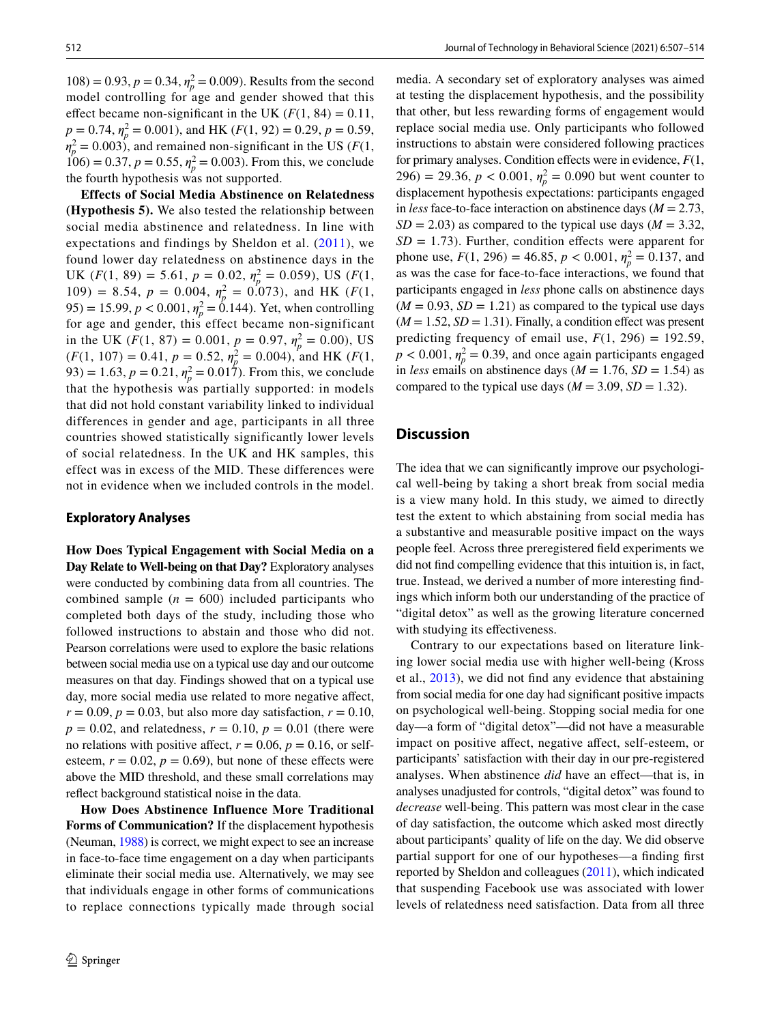$108$  = 0.93,  $p = 0.34$ ,  $\eta_p^2 = 0.009$ ). Results from the second model controlling for age and gender showed that this effect became non-significant in the UK  $(F(1, 84) = 0.11$ ,  $p = 0.74$ ,  $\eta_p^2 = 0.001$ ), and HK (*F*(1, 92) = 0.29, *p* = 0.59,  $m_p^2 = 0.003$ , and remained non-significant in the US (*F*(1,  $106$  = 0.37,  $p = 0.55$ ,  $\eta_p^2 = 0.003$ ). From this, we conclude the fourth hypothesis was not supported.

**Effects of Social Media Abstinence on Relatedness (Hypothesis 5).** We also tested the relationship between social media abstinence and relatedness. In line with expectations and findings by Sheldon et al. ([2011\)](#page-7-5), we found lower day relatedness on abstinence days in the UK  $(F(1, 89) = 5.61, p = 0.02, \eta_p^2 = 0.059)$ , US  $(F(1, 89))$ 109) = 8.54,  $p = 0.004$ ,  $\eta_p^2 = 0.073$ , and HK (*F*(1, 95) = 15.99,  $p < 0.001$ ,  $\eta_p^2 = 0.144$ ). Yet, when controlling for age and gender, this effect became non-significant in the UK ( $F(1, 87) = 0.001$ ,  $p = 0.97$ ,  $\eta_p^2 = 0.00$ ), US  $(F(1, 107) = 0.41, p = 0.52, \eta_p^2 = 0.004)$ , and HK  $(F(1, 107))$  $(93) = 1.63, p = 0.21, \eta_p^2 = 0.017$ . From this, we conclude that the hypothesis was partially supported: in models that did not hold constant variability linked to individual differences in gender and age, participants in all three countries showed statistically significantly lower levels of social relatedness. In the UK and HK samples, this effect was in excess of the MID. These differences were not in evidence when we included controls in the model.

### **Exploratory Analyses**

**How Does Typical Engagement with Social Media on a Day Relate to Well-being on that Day?** Exploratory analyses were conducted by combining data from all countries. The combined sample  $(n = 600)$  included participants who completed both days of the study, including those who followed instructions to abstain and those who did not. Pearson correlations were used to explore the basic relations between social media use on a typical use day and our outcome measures on that day. Findings showed that on a typical use day, more social media use related to more negative afect,  $r = 0.09$ ,  $p = 0.03$ , but also more day satisfaction,  $r = 0.10$ ,  $p = 0.02$ , and relatedness,  $r = 0.10$ ,  $p = 0.01$  (there were no relations with positive affect,  $r = 0.06$ ,  $p = 0.16$ , or selfesteem,  $r = 0.02$ ,  $p = 0.69$ ), but none of these effects were above the MID threshold, and these small correlations may refect background statistical noise in the data.

**How Does Abstinence Influence More Traditional Forms of Communication?** If the displacement hypothesis (Neuman, [1988](#page-7-2)) is correct, we might expect to see an increase in face-to-face time engagement on a day when participants eliminate their social media use. Alternatively, we may see that individuals engage in other forms of communications to replace connections typically made through social media. A secondary set of exploratory analyses was aimed at testing the displacement hypothesis, and the possibility that other, but less rewarding forms of engagement would replace social media use. Only participants who followed instructions to abstain were considered following practices for primary analyses. Condition efects were in evidence, *F*(1,  $296$  = 29.36,  $p < 0.001$ ,  $\eta_p^2 = 0.090$  but went counter to displacement hypothesis expectations: participants engaged in *less* face-to-face interaction on abstinence days  $(M = 2.73)$ ,  $SD = 2.03$ ) as compared to the typical use days ( $M = 3.32$ ,  $SD = 1.73$ ). Further, condition effects were apparent for phone use,  $F(1, 296) = 46.85$ ,  $p < 0.001$ ,  $\eta_p^2 = 0.137$ , and as was the case for face-to-face interactions, we found that participants engaged in *less* phone calls on abstinence days  $(M = 0.93, SD = 1.21)$  as compared to the typical use days  $(M = 1.52, SD = 1.31)$ . Finally, a condition effect was present predicting frequency of email use,  $F(1, 296) = 192.59$ ,  $p < 0.001$ ,  $\eta_p^2 = 0.39$ , and once again participants engaged in *less* emails on abstinence days ( $M = 1.76$ ,  $SD = 1.54$ ) as compared to the typical use days ( $M = 3.09$ ,  $SD = 1.32$ ).

# **Discussion**

The idea that we can signifcantly improve our psychological well-being by taking a short break from social media is a view many hold. In this study, we aimed to directly test the extent to which abstaining from social media has a substantive and measurable positive impact on the ways people feel. Across three preregistered feld experiments we did not fnd compelling evidence that this intuition is, in fact, true. Instead, we derived a number of more interesting fndings which inform both our understanding of the practice of "digital detox" as well as the growing literature concerned with studying its effectiveness.

Contrary to our expectations based on literature linking lower social media use with higher well-being (Kross et al., [2013](#page-7-8)), we did not fnd any evidence that abstaining from social media for one day had signifcant positive impacts on psychological well-being. Stopping social media for one day—a form of "digital detox"—did not have a measurable impact on positive affect, negative affect, self-esteem, or participants' satisfaction with their day in our pre-registered analyses. When abstinence *did* have an efect—that is, in analyses unadjusted for controls, "digital detox" was found to *decrease* well-being. This pattern was most clear in the case of day satisfaction, the outcome which asked most directly about participants' quality of life on the day. We did observe partial support for one of our hypotheses—a fnding frst reported by Sheldon and colleagues [\(2011](#page-7-5)), which indicated that suspending Facebook use was associated with lower levels of relatedness need satisfaction. Data from all three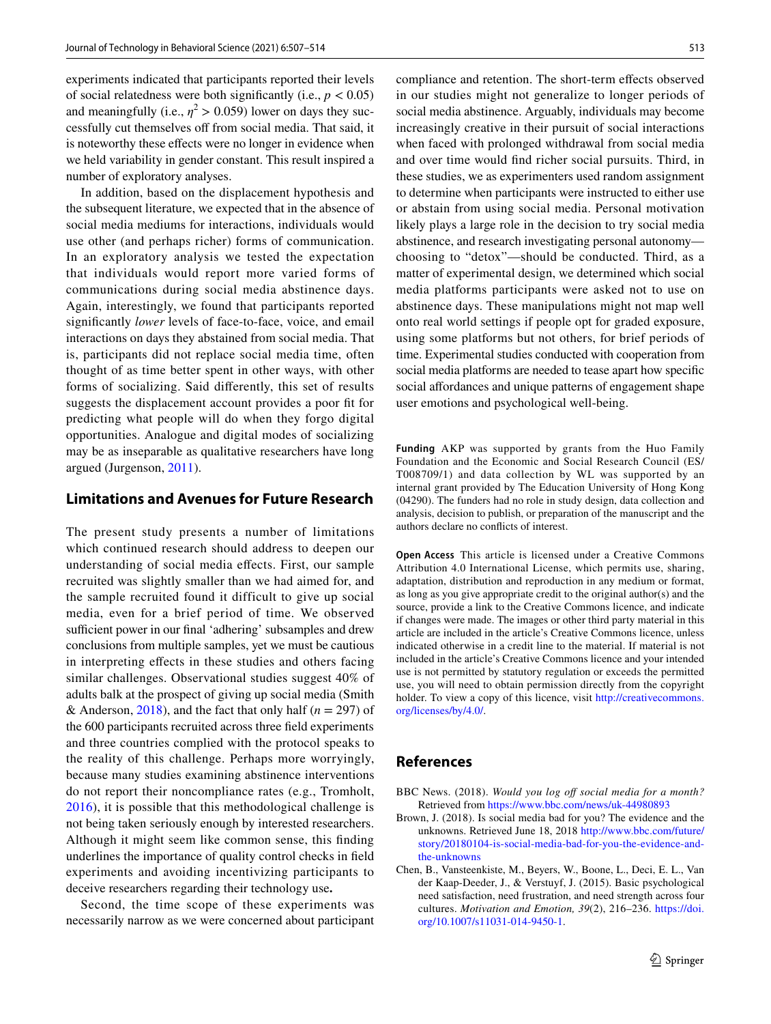experiments indicated that participants reported their levels of social relatedness were both significantly (i.e.,  $p < 0.05$ ) and meaningfully (i.e.,  $\eta^2 > 0.059$ ) lower on days they successfully cut themselves off from social media. That said, it is noteworthy these effects were no longer in evidence when we held variability in gender constant. This result inspired a number of exploratory analyses.

In addition, based on the displacement hypothesis and the subsequent literature, we expected that in the absence of social media mediums for interactions, individuals would use other (and perhaps richer) forms of communication. In an exploratory analysis we tested the expectation that individuals would report more varied forms of communications during social media abstinence days. Again, interestingly, we found that participants reported signifcantly *lower* levels of face-to-face, voice, and email interactions on days they abstained from social media. That is, participants did not replace social media time, often thought of as time better spent in other ways, with other forms of socializing. Said diferently, this set of results suggests the displacement account provides a poor ft for predicting what people will do when they forgo digital opportunities. Analogue and digital modes of socializing may be as inseparable as qualitative researchers have long argued (Jurgenson, [2011\)](#page-7-29).

# **Limitations and Avenues for Future Research**

The present study presents a number of limitations which continued research should address to deepen our understanding of social media efects. First, our sample recruited was slightly smaller than we had aimed for, and the sample recruited found it difficult to give up social media, even for a brief period of time. We observed sufficient power in our final 'adhering' subsamples and drew conclusions from multiple samples, yet we must be cautious in interpreting efects in these studies and others facing similar challenges. Observational studies suggest 40% of adults balk at the prospect of giving up social media (Smith & Anderson,  $2018$ ), and the fact that only half ( $n = 297$ ) of the 600 participants recruited across three feld experiments and three countries complied with the protocol speaks to the reality of this challenge. Perhaps more worryingly, because many studies examining abstinence interventions do not report their noncompliance rates (e.g., Tromholt, [2016\)](#page-7-11), it is possible that this methodological challenge is not being taken seriously enough by interested researchers. Although it might seem like common sense, this fnding underlines the importance of quality control checks in feld experiments and avoiding incentivizing participants to deceive researchers regarding their technology use**.**

Second, the time scope of these experiments was necessarily narrow as we were concerned about participant compliance and retention. The short-term effects observed in our studies might not generalize to longer periods of social media abstinence. Arguably, individuals may become increasingly creative in their pursuit of social interactions when faced with prolonged withdrawal from social media and over time would fnd richer social pursuits. Third, in these studies, we as experimenters used random assignment to determine when participants were instructed to either use or abstain from using social media. Personal motivation likely plays a large role in the decision to try social media abstinence, and research investigating personal autonomy choosing to "detox"—should be conducted. Third, as a matter of experimental design, we determined which social media platforms participants were asked not to use on abstinence days. These manipulations might not map well onto real world settings if people opt for graded exposure, using some platforms but not others, for brief periods of time. Experimental studies conducted with cooperation from social media platforms are needed to tease apart how specifc social affordances and unique patterns of engagement shape user emotions and psychological well-being.

**Funding** AKP was supported by grants from the Huo Family Foundation and the Economic and Social Research Council (ES/ T008709/1) and data collection by WL was supported by an internal grant provided by The Education University of Hong Kong (04290). The funders had no role in study design, data collection and analysis, decision to publish, or preparation of the manuscript and the authors declare no conficts of interest.

**Open Access** This article is licensed under a Creative Commons Attribution 4.0 International License, which permits use, sharing, adaptation, distribution and reproduction in any medium or format, as long as you give appropriate credit to the original author(s) and the source, provide a link to the Creative Commons licence, and indicate if changes were made. The images or other third party material in this article are included in the article's Creative Commons licence, unless indicated otherwise in a credit line to the material. If material is not included in the article's Creative Commons licence and your intended use is not permitted by statutory regulation or exceeds the permitted use, you will need to obtain permission directly from the copyright holder. To view a copy of this licence, visit [http://creativecommons.](http://creativecommons.org/licenses/by/4.0/) [org/licenses/by/4.0/.](http://creativecommons.org/licenses/by/4.0/)

# **References**

- <span id="page-6-1"></span>BBC News. (2018). *Would you log off social media for a month?* Retrieved from<https://www.bbc.com/news/uk-44980893>
- <span id="page-6-0"></span>Brown, J. (2018). Is social media bad for you? The evidence and the unknowns. Retrieved June 18, 2018 [http://www.bbc.com/future/](http://www.bbc.com/future/story/20180104-is-social-media-bad-for-you-the-evidence-and-the-unknowns) [story/20180104-is-social-media-bad-for-you-the-evidence-and](http://www.bbc.com/future/story/20180104-is-social-media-bad-for-you-the-evidence-and-the-unknowns)[the-unknowns](http://www.bbc.com/future/story/20180104-is-social-media-bad-for-you-the-evidence-and-the-unknowns)
- <span id="page-6-2"></span>Chen, B., Vansteenkiste, M., Beyers, W., Boone, L., Deci, E. L., Van der Kaap-Deeder, J., & Verstuyf, J. (2015). Basic psychological need satisfaction, need frustration, and need strength across four cultures. *Motivation and Emotion, 39*(2), 216–236. [https://doi.](https://doi.org/10.1007/s11031-014-9450-1) [org/10.1007/s11031-014-9450-1.](https://doi.org/10.1007/s11031-014-9450-1)